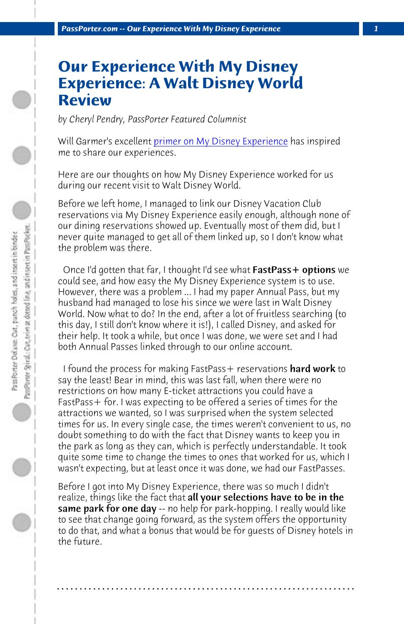**PassPorter.com -- Our Experience With My Disney Experience** 

## **Our Experience With My Disney Experience: A Walt Disney World Review**

*by Cheryl Pendry, PassPorter Featured Columnist*

Will Garmer's excellent primer on My Disney Experience has inspired me to share our experiences.

Here are our thoughts on how My Disney Experience worked for us during our recent visit to Walt Disney World.

Before we left home, I managed to link our Disney Vacation Club reservations via My Disney Experience easily enough, although none of our dining reservations showed up. Eventually most of them did, but I never quite managed to get all of them linked up, so I don't know what the problem was there.

Once I'd gotten that far, I thought I'd see what FastPass+ options we could see, and how easy the My Disney Experience system is to use. However, there was a problem ... I had my paper Annual Pass, but my husband had managed to lose his since we were last in Walt Disney World. Now what to do? In the end, after a lot of fruitless searching (to this day, I still don't know where it is!), I called Disney, and asked for their help. It took a while, but once I was done, we were set and I had both Annual Passes linked through to our online account.

I found the process for making FastPass+ reservations hard work to say the least! Bear in mind, this was last fall, when there were no restrictions on how many E-ticket attractions you could have a FastPass+ for. I was expecting to be offered a series of times for the attractions we wanted, so I was surprised when the system selected times for us. In every single case, the times weren't convenient to us, no doubt something to do with the fact that Disney wants to keep you in the park as long as they can, which is perfectly understandable. It took quite some time to change the times to ones that worked for us, which I wasn't expecting, but at least once it was done, we had our FastPasses.

Before I got into My Disney Experience, there was so much I didn't realize, things like the fact that **all your selections have to be in the same park for one day** -- no help for park-hopping. I really would like to see that change going forward, as the system offers the opportunity to do that, and what a bonus that would be for guests of Disney hotels in the future.

**. . . . . . . . . . . . . . . . . . . . . . . . . . . . . . . . . . . . . . . . . . . . . . . . . . . . . . . . . . . . . . . . . .**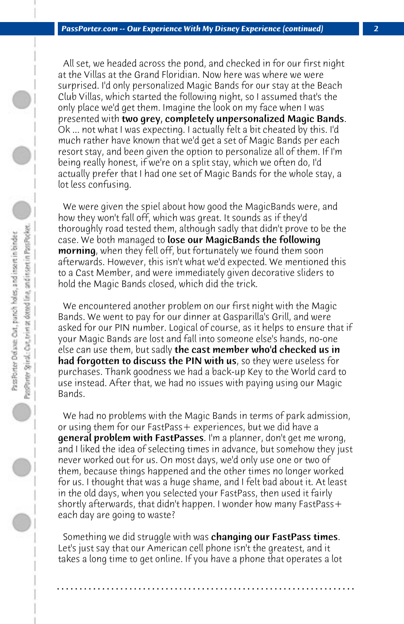All set, we headed across the pond, and checked in for our first night at the Villas at the Grand Floridian. Now here was where we were surprised. I'd only personalized Magic Bands for our stay at the Beach Club Villas, which started the following night, so I assumed that's the only place we'd get them. Imagine the look on my face when I was presented with two grey, completely unpersonalized Magic Bands. Ok ... not what I was expecting. I actually felt a bit cheated by this. I'd much rather have known that we'd get a set of Magic Bands per each resort stay, and been given the option to personalize all of them. If I'm being really honest, if we're on a split stay, which we often do, I'd actually prefer that I had one set of Magic Bands for the whole stay, a lot less confusing.

 We were given the spiel about how good the MagicBands were, and how they won't fall off, which was great. It sounds as if they'd thoroughly road tested them, although sadly that didn't prove to be the case. We both managed to lose our MagicBands the following morning, when they fell off, but fortunately we found them soon afterwards. However, this isn't what we'd expected. We mentioned this to a Cast Member, and were immediately given decorative sliders to hold the Magic Bands closed, which did the trick.

 We encountered another problem on our first night with the Magic Bands. We went to pay for our dinner at Gasparilla's Grill, and were asked for our PIN number. Logical of course, as it helps to ensure that if your Magic Bands are lost and fall into someone else's hands, no-one else can use them, but sadly the cast member who'd checked us in had forgotten to discuss the PIN with us, so they were useless for purchases. Thank goodness we had a back-up Key to the World card to use instead. After that, we had no issues with paying using our Magic Bands.

 We had no problems with the Magic Bands in terms of park admission, or using them for our FastPass+ experiences, but we did have a **general problem with FastPasses**. I'm a planner, don't get me wrong, and I liked the idea of selecting times in advance, but somehow they just never worked out for us. On most days, we'd only use one or two of them, because things happened and the other times no longer worked for us. I thought that was a huge shame, and I felt bad about it. At least in the old days, when you selected your FastPass, then used it fairly shortly afterwards, that didn't happen. I wonder how many FastPass+ each day are going to waste?

Something we did struggle with was changing our FastPass times. Let's just say that our American cell phone isn't the greatest, and it takes a long time to get online. If you have a phone that operates a lot

**. . . . . . . . . . . . . . . . . . . . . . . . . . . . . . . . . . . . . . . . . . . . . . . . . . . . . . . . . . . . . . . . . .**